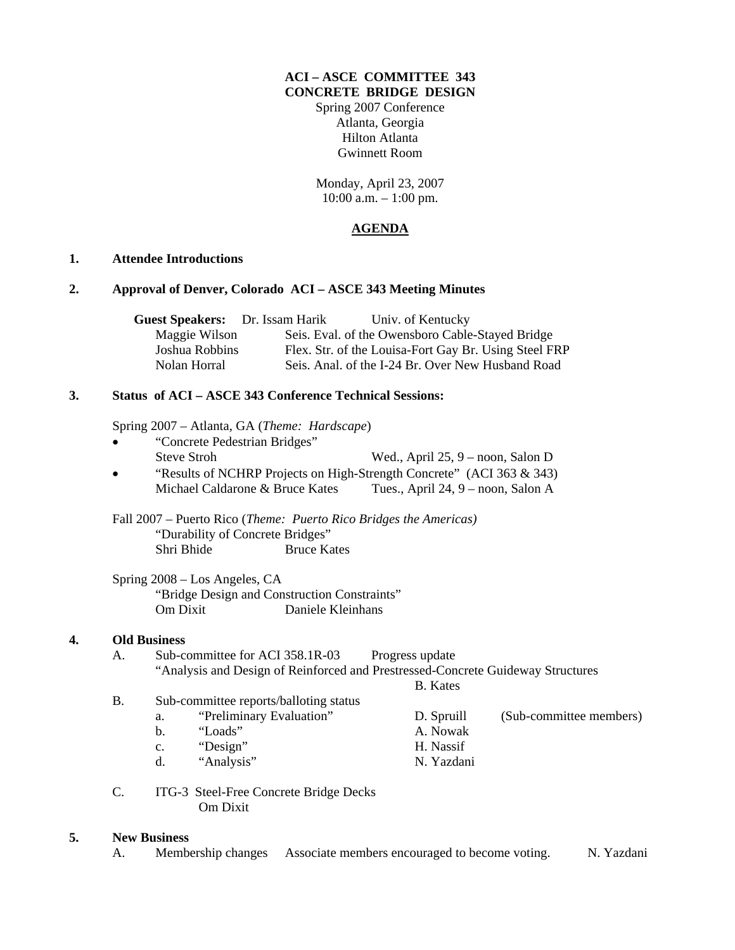#### **ACI – ASCE COMMITTEE 343 CONCRETE BRIDGE DESIGN**

Spring 2007 Conference Atlanta, Georgia Hilton Atlanta Gwinnett Room

Monday, April 23, 2007 10:00 a.m. – 1:00 pm.

## **AGENDA**

#### **1. Attendee Introductions**

#### **2. Approval of Denver, Colorado ACI – ASCE 343 Meeting Minutes**

| <b>Guest Speakers:</b> Dr. Issam Harik | Univ. of Kentucky                                     |  |
|----------------------------------------|-------------------------------------------------------|--|
| Maggie Wilson                          | Seis. Eval. of the Owensboro Cable-Stayed Bridge      |  |
| Joshua Robbins                         | Flex. Str. of the Louisa-Fort Gay Br. Using Steel FRP |  |
| Nolan Horral                           | Seis. Anal. of the I-24 Br. Over New Husband Road     |  |

### **3. Status of ACI – ASCE 343 Conference Technical Sessions:**

Spring 2007 – Atlanta, GA (*Theme: Hardscape*)

- "Concrete Pedestrian Bridges" Steve Stroh Wed., April 25, 9 – noon, Salon D
- "Results of NCHRP Projects on High-Strength Concrete" (ACI 363 & 343) Michael Caldarone & Bruce Kates Tues., April 24, 9 – noon, Salon A

 Fall 2007 – Puerto Rico (*Theme: Puerto Rico Bridges the Americas)* "Durability of Concrete Bridges" Shri Bhide Bruce Kates

 Spring 2008 – Los Angeles, CA "Bridge Design and Construction Constraints" Om Dixit Daniele Kleinhans

#### **4. Old Business**

A. Sub-committee for ACI 358.1R-03 Progress update "Analysis and Design of Reinforced and Prestressed-Concrete Guideway Structures

B. Kates

- B. Sub-committee reports/balloting status a. "Preliminary Evaluation" D. Spruill (Sub-committee members)
	-
	- b. "Loads" A. Nowak
	- c. "Design" H. Nassif
	- d. "Analysis" N. Yazdani
- C. ITG-3 Steel-Free Concrete Bridge Decks Om Dixit

#### **5. New Business**

A. Membership changes Associate members encouraged to become voting. N. Yazdani

- 
- 
- 
- 
-